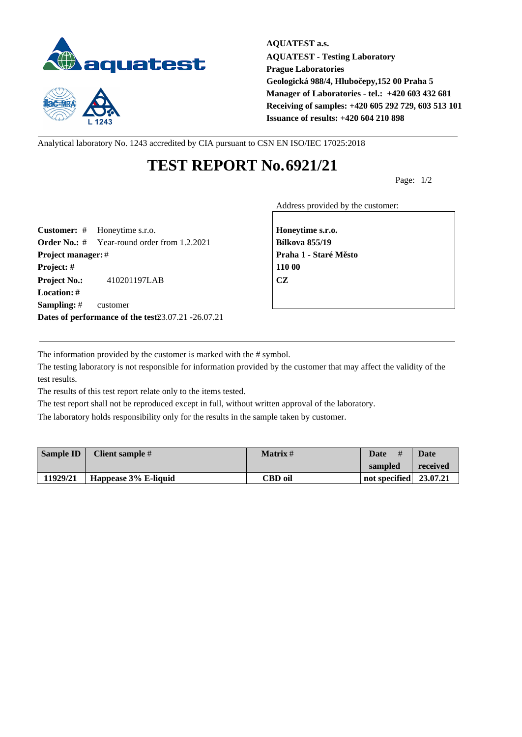



**AQUATEST a.s. AQUATEST - Testing Laboratory Prague Laboratories Geologická 988/4, Hlubočepy,152 00 Praha 5 Manager of Laboratories - tel.: +420 603 432 681 Receiving of samples: +420 605 292 729, 603 513 101 Issuance of results: +420 604 210 898**

Analytical laboratory No. 1243 accredited by CIA pursuant to CSN EN ISO/IEC 17025:2018

## **TEST REPORT No.6921/21**

Page: 1/2

Address provided by the customer:

**Customer:** # Honeytime s.r.o. **Honeytime s.r.o. Order No.:** # Year-round order from 1.2.2021 **Bílkova 855/19 Project manager:** # **Project manager:** # **Praha 1 - Staré M** sto **Project: # 110 00 Project No.:** 410201197LAB **CZ Location: # Sampling:** # customer **Dates of performance of the test23.07.21 -26.07.21** 

The information provided by the customer is marked with the # symbol.

The testing laboratory is not responsible for information provided by the customer that may affect the validity of the test results.

The results of this test report relate only to the items tested.

The test report shall not be reproduced except in full, without written approval of the laboratory.

The laboratory holds responsibility only for the results in the sample taken by customer.

| <b>Sample ID</b> | Client sample #      | <b>Matrix</b> # | Date<br>#                | Date     |
|------------------|----------------------|-----------------|--------------------------|----------|
|                  |                      |                 | sampled                  | received |
| 11929/21         | Happease 3% E-liquid | CBD oil         | not specified $23.07.21$ |          |